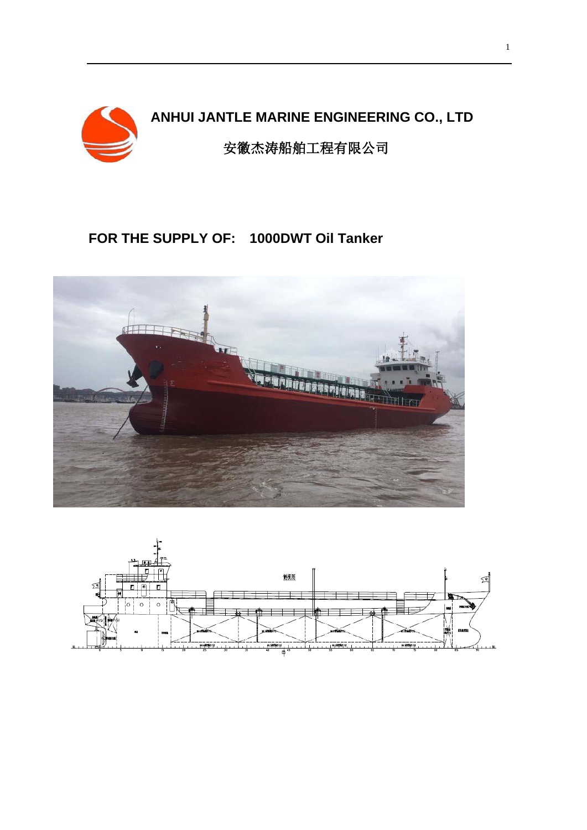

# **ANHUI JANTLE MARINE ENGINEERING CO., LTD**

安徽杰涛船舶工程有限公司

### **FOR THE SUPPLY OF: 1000DWT Oil Tanker**



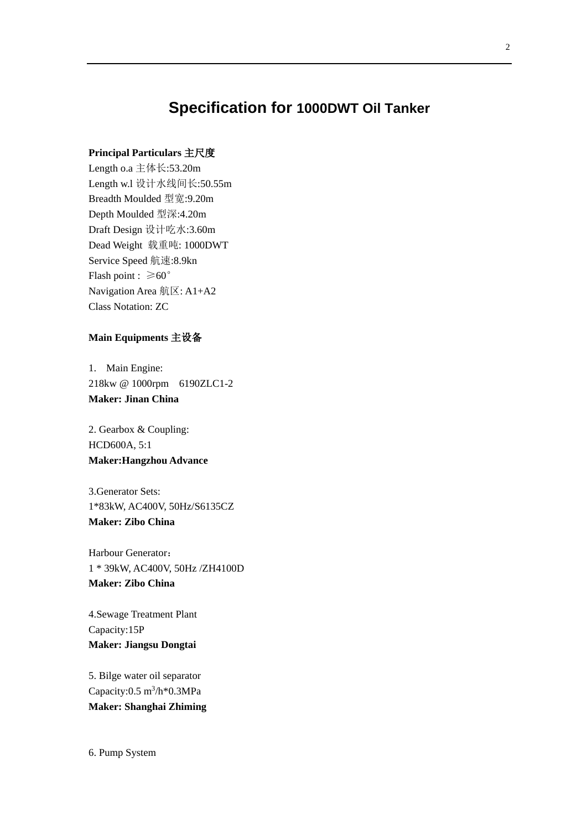## **Specification for 1000DWT Oil Tanker**

### **Principal Particulars** 主尺度

Length o.a 主体长:53.20m Length w.l 设计水线间长:50.55m Breadth Moulded 型宽:9.20m Depth Moulded 型深:4.20m Draft Design 设计吃水:3.60m Dead Weight 载重吨: 1000DWT Service Speed 航速:8.9kn Flash point :  $\geq 60^\circ$ Navigation Area 航区: A1+A2 Class Notation: ZC

#### **Main Equipments** 主设备

1. Main Engine: 218kw @ 1000rpm 6190ZLC1-2 **Maker: Jinan China**

2. Gearbox & Coupling: HCD600A, 5:1 **Maker:Hangzhou Advance**

3.Generator Sets: 1\*83kW, AC400V, 50Hz/S6135CZ **Maker: Zibo China**

Harbour Generator: 1 \* 39kW, AC400V, 50Hz /ZH4100D **Maker: Zibo China**

4.Sewage Treatment Plant Capacity:15P **Maker: Jiangsu Dongtai** 

5. Bilge water oil separator Capacity: $0.5 \text{ m}^3/\text{h}^*0.3 \text{MPa}$ **Maker: Shanghai Zhiming**